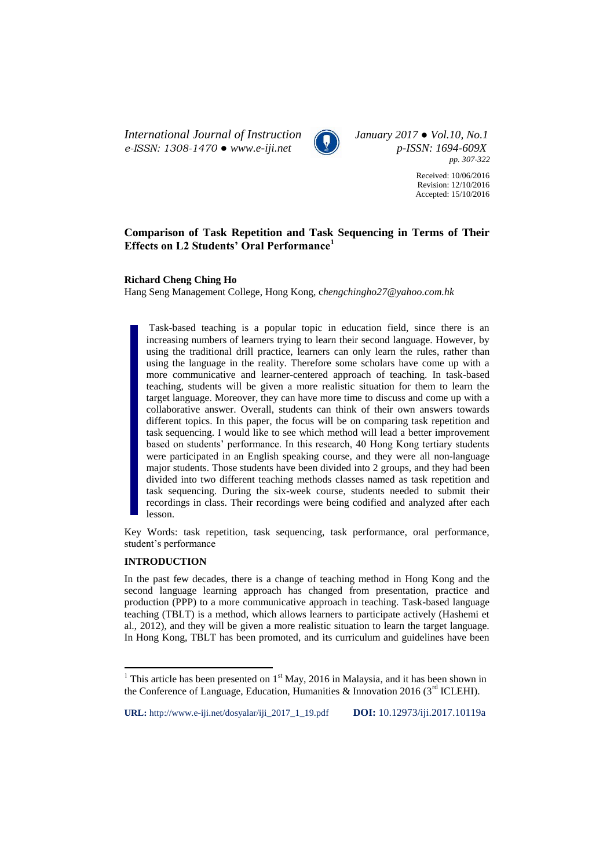*International Journal of Instruction January 2017 ● Vol.10, No.1 e-ISSN: 1308-1470 ● www.e-iji.net p-ISSN: 1694-609X*



*pp. 307-322*

Received: 10/06/2016 Revision: 12/10/2016 Accepted: 15/10/2016

# **Comparison of Task Repetition and Task Sequencing in Terms of Their Effects on L2 Students' Oral Performance<sup>1</sup>**

**Richard Cheng Ching Ho**

Hang Seng Management College, Hong Kong, c*hengchingho27@yahoo.com.hk*

Task-based teaching is a popular topic in education field, since there is an increasing numbers of learners trying to learn their second language. However, by using the traditional drill practice, learners can only learn the rules, rather than using the language in the reality. Therefore some scholars have come up with a more communicative and learner-centered approach of teaching. In task-based teaching, students will be given a more realistic situation for them to learn the target language. Moreover, they can have more time to discuss and come up with a collaborative answer. Overall, students can think of their own answers towards different topics. In this paper, the focus will be on comparing task repetition and task sequencing. I would like to see which method will lead a better improvement based on students' performance. In this research, 40 Hong Kong tertiary students were participated in an English speaking course, and they were all non-language major students. Those students have been divided into 2 groups, and they had been divided into two different teaching methods classes named as task repetition and task sequencing. During the six-week course, students needed to submit their recordings in class. Their recordings were being codified and analyzed after each lesson.

Key Words: task repetition, task sequencing, task performance, oral performance, student's performance

# **INTRODUCTION**

 $\overline{a}$ 

In the past few decades, there is a change of teaching method in Hong Kong and the second language learning approach has changed from presentation, practice and production (PPP) to a more communicative approach in teaching. Task-based language teaching (TBLT) is a method, which allows learners to participate actively (Hashemi et al., 2012), and they will be given a more realistic situation to learn the target language. In Hong Kong, TBLT has been promoted, and its curriculum and guidelines have been

**URL:** http://www.e-iji.net/dosyalar/iji\_2017\_1\_19.pdf **DOI:** 10.12973/iji.2017.10119a

<sup>&</sup>lt;sup>1</sup> This article has been presented on  $1<sup>st</sup>$  May, 2016 in Malaysia, and it has been shown in the Conference of Language, Education, Humanities & Innovation 2016 ( $3<sup>rd</sup>$  ICLEHI).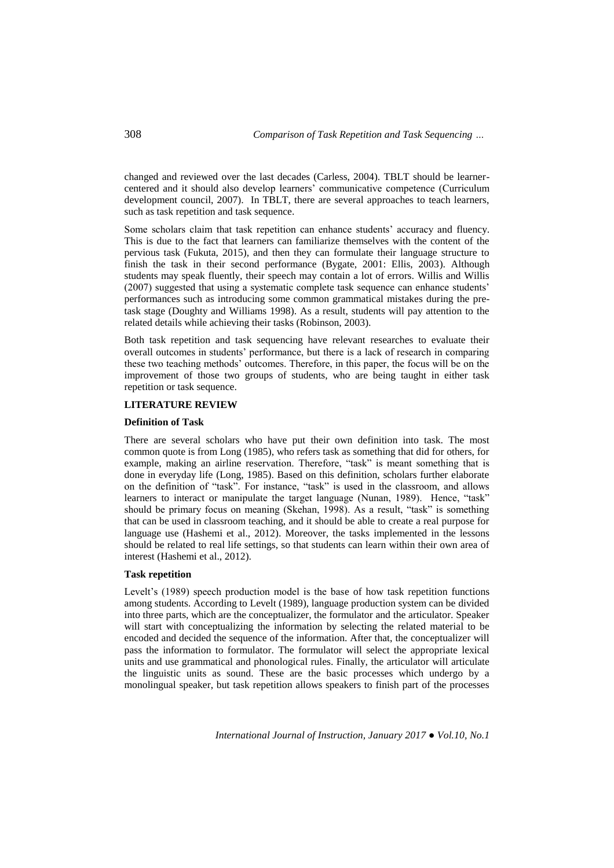changed and reviewed over the last decades (Carless, 2004). TBLT should be learnercentered and it should also develop learners' communicative competence (Curriculum development council, 2007). In TBLT, there are several approaches to teach learners, such as task repetition and task sequence.

Some scholars claim that task repetition can enhance students' accuracy and fluency. This is due to the fact that learners can familiarize themselves with the content of the pervious task (Fukuta, 2015), and then they can formulate their language structure to finish the task in their second performance (Bygate, 2001: Ellis, 2003). Although students may speak fluently, their speech may contain a lot of errors. Willis and Willis (2007) suggested that using a systematic complete task sequence can enhance students' performances such as introducing some common grammatical mistakes during the pretask stage (Doughty and Williams 1998). As a result, students will pay attention to the related details while achieving their tasks (Robinson, 2003).

Both task repetition and task sequencing have relevant researches to evaluate their overall outcomes in students' performance, but there is a lack of research in comparing these two teaching methods' outcomes. Therefore, in this paper, the focus will be on the improvement of those two groups of students, who are being taught in either task repetition or task sequence.

### **LITERATURE REVIEW**

# **Definition of Task**

There are several scholars who have put their own definition into task. The most common quote is from Long (1985), who refers task as something that did for others, for example, making an airline reservation. Therefore, "task" is meant something that is done in everyday life (Long, 1985). Based on this definition, scholars further elaborate on the definition of "task". For instance, "task" is used in the classroom, and allows learners to interact or manipulate the target language (Nunan, 1989). Hence, "task" should be primary focus on meaning (Skehan, 1998). As a result, "task" is something that can be used in classroom teaching, and it should be able to create a real purpose for language use (Hashemi et al., 2012). Moreover, the tasks implemented in the lessons should be related to real life settings, so that students can learn within their own area of interest (Hashemi et al., 2012).

## **Task repetition**

Levelt's (1989) speech production model is the base of how task repetition functions among students. According to Levelt (1989), language production system can be divided into three parts, which are the conceptualizer, the formulator and the articulator. Speaker will start with conceptualizing the information by selecting the related material to be encoded and decided the sequence of the information. After that, the conceptualizer will pass the information to formulator. The formulator will select the appropriate lexical units and use grammatical and phonological rules. Finally, the articulator will articulate the linguistic units as sound. These are the basic processes which undergo by a monolingual speaker, but task repetition allows speakers to finish part of the processes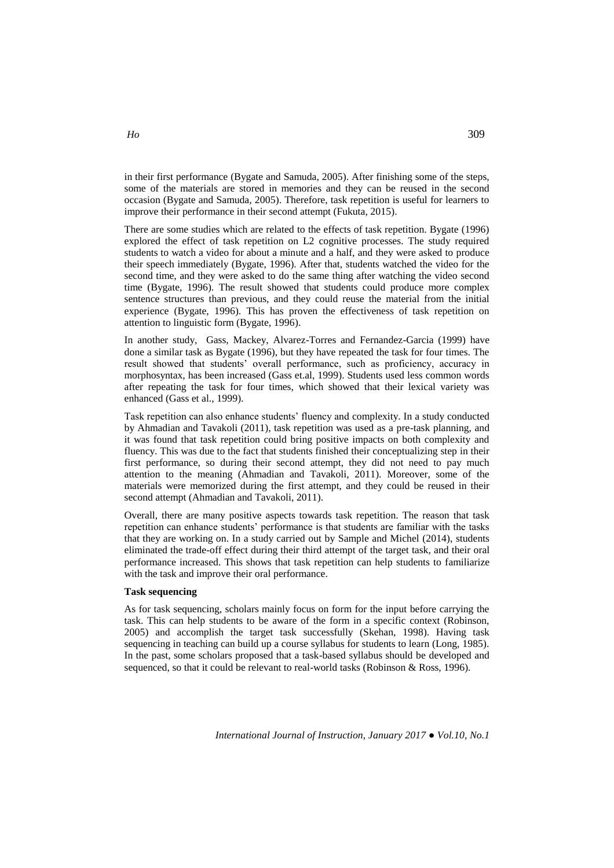in their first performance (Bygate and Samuda, 2005). After finishing some of the steps, some of the materials are stored in memories and they can be reused in the second occasion (Bygate and Samuda, 2005). Therefore, task repetition is useful for learners to improve their performance in their second attempt (Fukuta, 2015).

There are some studies which are related to the effects of task repetition. Bygate (1996) explored the effect of task repetition on L2 cognitive processes. The study required students to watch a video for about a minute and a half, and they were asked to produce their speech immediately (Bygate, 1996). After that, students watched the video for the second time, and they were asked to do the same thing after watching the video second time (Bygate, 1996). The result showed that students could produce more complex sentence structures than previous, and they could reuse the material from the initial experience (Bygate, 1996). This has proven the effectiveness of task repetition on attention to linguistic form (Bygate, 1996).

In another study, Gass, Mackey, Alvarez-Torres and Fernandez-Garcia (1999) have done a similar task as Bygate (1996), but they have repeated the task for four times. The result showed that students' overall performance, such as proficiency, accuracy in morphosyntax, has been increased (Gass et.al, 1999). Students used less common words after repeating the task for four times, which showed that their lexical variety was enhanced (Gass et al., 1999).

Task repetition can also enhance students' fluency and complexity. In a study conducted by Ahmadian and Tavakoli (2011), task repetition was used as a pre-task planning, and it was found that task repetition could bring positive impacts on both complexity and fluency. This was due to the fact that students finished their conceptualizing step in their first performance, so during their second attempt, they did not need to pay much attention to the meaning (Ahmadian and Tavakoli, 2011). Moreover, some of the materials were memorized during the first attempt, and they could be reused in their second attempt (Ahmadian and Tavakoli, 2011).

Overall, there are many positive aspects towards task repetition. The reason that task repetition can enhance students' performance is that students are familiar with the tasks that they are working on. In a study carried out by Sample and Michel (2014), students eliminated the trade-off effect during their third attempt of the target task, and their oral performance increased. This shows that task repetition can help students to familiarize with the task and improve their oral performance.

# **Task sequencing**

As for task sequencing, scholars mainly focus on form for the input before carrying the task. This can help students to be aware of the form in a specific context (Robinson, 2005) and accomplish the target task successfully (Skehan, 1998). Having task sequencing in teaching can build up a course syllabus for students to learn (Long, 1985). In the past, some scholars proposed that a task-based syllabus should be developed and sequenced, so that it could be relevant to real-world tasks (Robinson & Ross, 1996).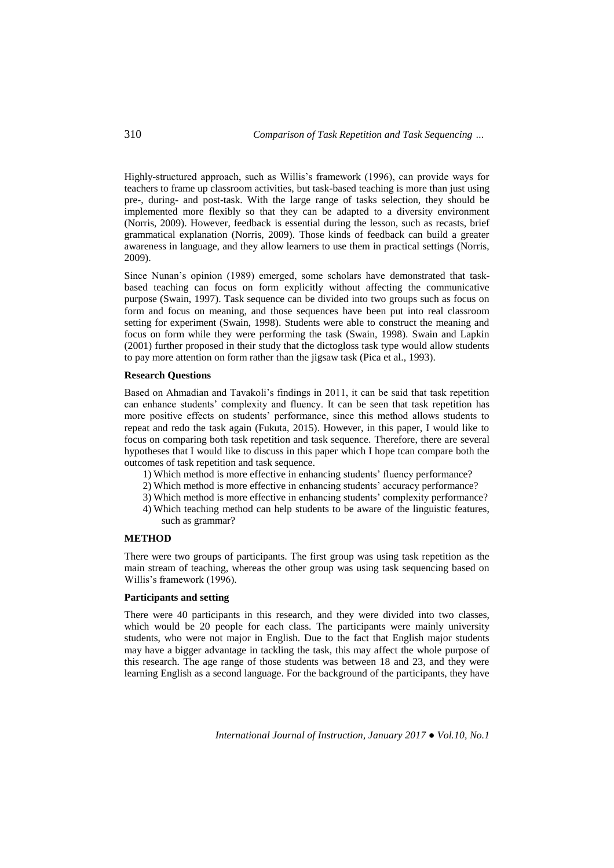Highly-structured approach, such as Willis's framework (1996), can provide ways for teachers to frame up classroom activities, but task-based teaching is more than just using pre-, during- and post-task. With the large range of tasks selection, they should be implemented more flexibly so that they can be adapted to a diversity environment (Norris, 2009). However, feedback is essential during the lesson, such as recasts, brief grammatical explanation (Norris, 2009). Those kinds of feedback can build a greater awareness in language, and they allow learners to use them in practical settings (Norris, 2009).

Since Nunan's opinion (1989) emerged, some scholars have demonstrated that taskbased teaching can focus on form explicitly without affecting the communicative purpose (Swain, 1997). Task sequence can be divided into two groups such as focus on form and focus on meaning, and those sequences have been put into real classroom setting for experiment (Swain, 1998). Students were able to construct the meaning and focus on form while they were performing the task (Swain, 1998). Swain and Lapkin (2001) further proposed in their study that the dictogloss task type would allow students to pay more attention on form rather than the jigsaw task (Pica et al., 1993).

#### **Research Questions**

Based on Ahmadian and Tavakoli's findings in 2011, it can be said that task repetition can enhance students' complexity and fluency. It can be seen that task repetition has more positive effects on students' performance, since this method allows students to repeat and redo the task again (Fukuta, 2015). However, in this paper, I would like to focus on comparing both task repetition and task sequence. Therefore, there are several hypotheses that I would like to discuss in this paper which I hope tcan compare both the outcomes of task repetition and task sequence.

- 1) Which method is more effective in enhancing students' fluency performance?
- 2) Which method is more effective in enhancing students' accuracy performance?
- 3) Which method is more effective in enhancing students' complexity performance?
- 4) Which teaching method can help students to be aware of the linguistic features, such as grammar?

# **METHOD**

There were two groups of participants. The first group was using task repetition as the main stream of teaching, whereas the other group was using task sequencing based on Willis's framework (1996).

# **Participants and setting**

There were 40 participants in this research, and they were divided into two classes, which would be 20 people for each class. The participants were mainly university students, who were not major in English. Due to the fact that English major students may have a bigger advantage in tackling the task, this may affect the whole purpose of this research. The age range of those students was between 18 and 23, and they were learning English as a second language. For the background of the participants, they have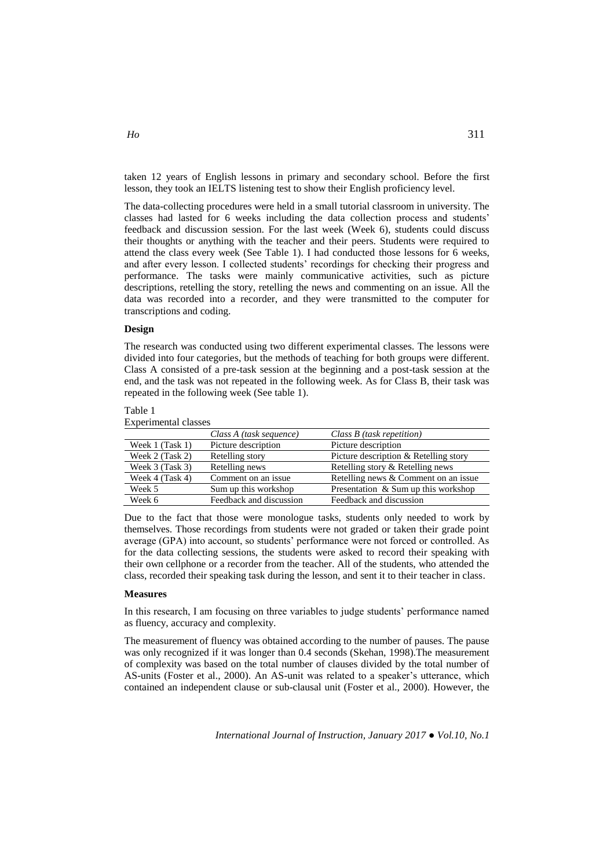taken 12 years of English lessons in primary and secondary school. Before the first lesson, they took an IELTS listening test to show their English proficiency level.

The data-collecting procedures were held in a small tutorial classroom in university. The classes had lasted for 6 weeks including the data collection process and students' feedback and discussion session. For the last week (Week 6), students could discuss their thoughts or anything with the teacher and their peers. Students were required to attend the class every week (See Table 1). I had conducted those lessons for 6 weeks, and after every lesson. I collected students' recordings for checking their progress and performance. The tasks were mainly communicative activities, such as picture descriptions, retelling the story, retelling the news and commenting on an issue. All the data was recorded into a recorder, and they were transmitted to the computer for transcriptions and coding.

### **Design**

The research was conducted using two different experimental classes. The lessons were divided into four categories, but the methods of teaching for both groups were different. Class A consisted of a pre-task session at the beginning and a post-task session at the end, and the task was not repeated in the following week. As for Class B, their task was repeated in the following week (See table 1).

| Table 1              |  |
|----------------------|--|
| Experimental classes |  |

|                      | Class A (task sequence) | Class B (task repetition)             |
|----------------------|-------------------------|---------------------------------------|
| Week 1 (Task 1)      | Picture description     | Picture description                   |
| Week $2$ (Task $2$ ) | Retelling story         | Picture description & Retelling story |
| Week $3$ (Task $3$ ) | Retelling news          | Retelling story & Retelling news      |
| Week 4 (Task 4)      | Comment on an issue     | Retelling news & Comment on an issue  |
| Week 5               | Sum up this workshop    | Presentation & Sum up this workshop   |
| Week 6               | Feedback and discussion | Feedback and discussion               |

Due to the fact that those were monologue tasks, students only needed to work by themselves. Those recordings from students were not graded or taken their grade point average (GPA) into account, so students' performance were not forced or controlled. As for the data collecting sessions, the students were asked to record their speaking with their own cellphone or a recorder from the teacher. All of the students, who attended the class, recorded their speaking task during the lesson, and sent it to their teacher in class.

# **Measures**

In this research, I am focusing on three variables to judge students' performance named as fluency, accuracy and complexity.

The measurement of fluency was obtained according to the number of pauses. The pause was only recognized if it was longer than 0.4 seconds (Skehan, 1998).The measurement of complexity was based on the total number of clauses divided by the total number of AS-units (Foster et al., 2000). An AS-unit was related to a speaker's utterance, which contained an independent clause or sub-clausal unit (Foster et al., 2000). However, the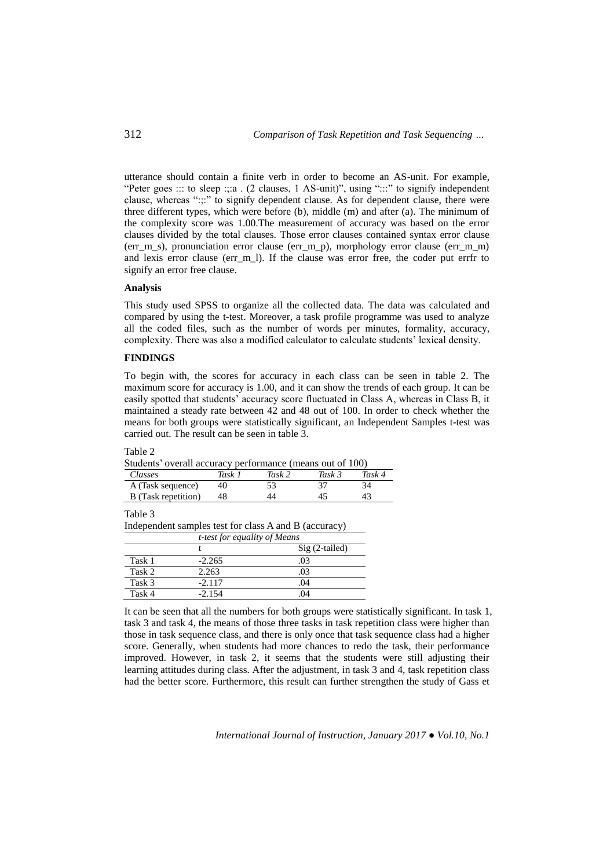utterance should contain a finite verb in order to become an AS-unit. For example, "Peter goes ::: to sleep :::a . (2 clauses, 1 AS-unit)", using ":::" to signify independent clause, whereas ":;:" to signify dependent clause. As for dependent clause, there were three different types, which were before (b), middle (m) and after (a). The minimum of the complexity score was 1.00.The measurement of accuracy was based on the error clauses divided by the total clauses. Those error clauses contained syntax error clause (err m s), pronunciation error clause (err\_m\_p), morphology error clause (err\_m\_m) and lexis error clause (err\_m\_l). If the clause was error free, the coder put errfr to signify an error free clause.

# **Analysis**

This study used SPSS to organize all the collected data. The data was calculated and compared by using the t-test. Moreover, a task profile programme was used to analyze all the coded files, such as the number of words per minutes, formality, accuracy, complexity. There was also a modified calculator to calculate students' lexical density.

# **FINDINGS**

To begin with, the scores for accuracy in each class can be seen in table 2. The maximum score for accuracy is 1.00, and it can show the trends of each group. It can be easily spotted that students' accuracy score fluctuated in Class A, whereas in Class B, it maintained a steady rate between 42 and 48 out of 100. In order to check whether the means for both groups were statistically significant, an Independent Samples t-test was carried out. The result can be seen in table 3.

Table 2

|  |  |  |  | Students' overall accuracy performance (means out of 100) |  |
|--|--|--|--|-----------------------------------------------------------|--|
|--|--|--|--|-----------------------------------------------------------|--|

| Classes                    | Task | Task 2 | Task 3 | Task 4 |
|----------------------------|------|--------|--------|--------|
| A (Task sequence)          | 40   |        |        | 34     |
| <b>B</b> (Task repetition) |      |        |        | 43     |

Table 3

Independent samples test for class A and B (accuracy) *t-test for equality of Means*

|        | $\ldots$ |                |
|--------|----------|----------------|
|        |          | Sig (2-tailed) |
| Task 1 | $-2.265$ | .03            |
| Task 2 | 2.263    | .03            |
| Task 3 | $-2.117$ | .04            |
| Task 4 | $-2.154$ | .04            |

It can be seen that all the numbers for both groups were statistically significant. In task 1, task 3 and task 4, the means of those three tasks in task repetition class were higher than those in task sequence class, and there is only once that task sequence class had a higher score. Generally, when students had more chances to redo the task, their performance improved. However, in task 2, it seems that the students were still adjusting their learning attitudes during class. After the adjustment, in task 3 and 4, task repetition class had the better score. Furthermore, this result can further strengthen the study of Gass et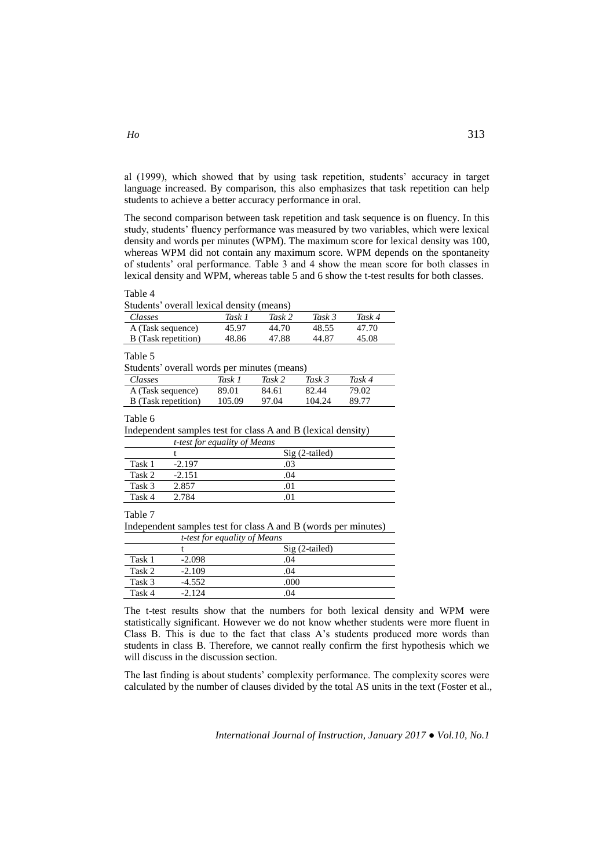al (1999), which showed that by using task repetition, students' accuracy in target language increased. By comparison, this also emphasizes that task repetition can help students to achieve a better accuracy performance in oral.

The second comparison between task repetition and task sequence is on fluency. In this study, students' fluency performance was measured by two variables, which were lexical density and words per minutes (WPM). The maximum score for lexical density was 100, whereas WPM did not contain any maximum score. WPM depends on the spontaneity of students' oral performance. Table 3 and 4 show the mean score for both classes in lexical density and WPM, whereas table 5 and 6 show the t-test results for both classes.

### Table 4

|  |  |  |  | Students' overall lexical density (means) |
|--|--|--|--|-------------------------------------------|
|--|--|--|--|-------------------------------------------|

| Classes                    | Task 1 | Task 2 | Task 3 | Task 4 |
|----------------------------|--------|--------|--------|--------|
| A (Task sequence)          | 45.97  | 44.70  | 48.55  | 47.70  |
| <b>B</b> (Task repetition) | 48.86  | 47.88  | 44.87  | 45.08  |
|                            |        |        |        |        |

# Table 5

|  |  |  | Students' overall words per minutes (means) |  |
|--|--|--|---------------------------------------------|--|
|--|--|--|---------------------------------------------|--|

| <i>Classes</i>      | Task 1 | Task 2 | Task 3 | Task 4 |  |
|---------------------|--------|--------|--------|--------|--|
| A (Task sequence)   | 89.01  | 84.61  | 82.44  | 79.02  |  |
| B (Task repetition) | 105.09 | 97.04  | 104.24 | 89.77  |  |

#### Table 6

Independent samples test for class A and B (lexical density) *t-test for equality of Means*

|        | .<br>.   |                 |
|--------|----------|-----------------|
|        |          | $Sig(2-tailed)$ |
| Task 1 | $-2.197$ | .03             |
| Task 2 | $-2.151$ | .04             |
| Task 3 | 2.857    | O I             |
| Task 4 | 2.784    |                 |
|        |          |                 |

#### Table 7

Independent samples test for class A and B (words per minutes) *t-test for equality of Means*

|        |          | $Sig(2-tailed)$ |
|--------|----------|-----------------|
| Task 1 | $-2.098$ | .04             |
| Task 2 | $-2.109$ | .04             |
| Task 3 | $-4.552$ | .000            |
| Task 4 | $-2.124$ | .04             |

The t-test results show that the numbers for both lexical density and WPM were statistically significant. However we do not know whether students were more fluent in Class B. This is due to the fact that class A's students produced more words than students in class B. Therefore, we cannot really confirm the first hypothesis which we will discuss in the discussion section.

The last finding is about students' complexity performance. The complexity scores were calculated by the number of clauses divided by the total AS units in the text (Foster et al.,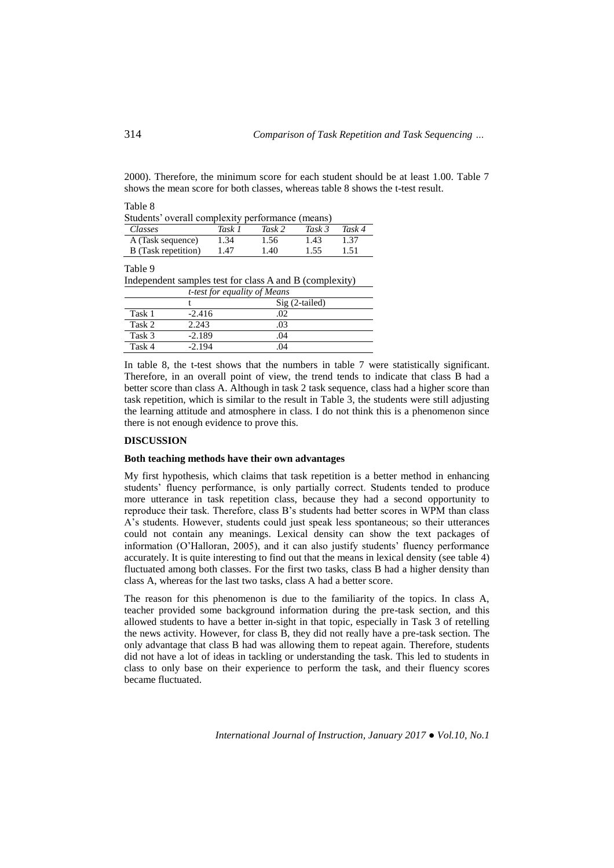2000). Therefore, the minimum score for each student should be at least 1.00. Table 7 shows the mean score for both classes, whereas table 8 shows the t-test result.

| lable 8                                                            |                                     |        |                 |        |
|--------------------------------------------------------------------|-------------------------------------|--------|-----------------|--------|
| Students' overall complexity performance (means)                   |                                     |        |                 |        |
| Classes                                                            | Task 1                              | Task 2 | Task 3          | Task 4 |
| A (Task sequence)                                                  | 1.34                                | 1.56   | 1.43            | 1.37   |
| <b>B</b> (Task repetition)                                         | 1.47                                | 1.40   | 1.55            | 1.51   |
| Table 9<br>Independent samples test for class A and B (complexity) |                                     |        |                 |        |
|                                                                    | <i>t-test for equality of Means</i> |        |                 |        |
|                                                                    |                                     |        | $Sig(2-tailed)$ |        |
| Task 1<br>$-2.416$                                                 |                                     | .02    |                 |        |
| 2.243<br>Task 2                                                    |                                     | .03    |                 |        |
| $-2.189$<br>Task 3                                                 |                                     | .04    |                 |        |

In table 8, the t-test shows that the numbers in table 7 were statistically significant. Therefore, in an overall point of view, the trend tends to indicate that class B had a better score than class A. Although in task 2 task sequence, class had a higher score than task repetition, which is similar to the result in Table 3, the students were still adjusting the learning attitude and atmosphere in class. I do not think this is a phenomenon since there is not enough evidence to prove this.

### **DISCUSSION**

### **Both teaching methods have their own advantages**

Task 4  $-2.194$  .04

My first hypothesis, which claims that task repetition is a better method in enhancing students' fluency performance, is only partially correct. Students tended to produce more utterance in task repetition class, because they had a second opportunity to reproduce their task. Therefore, class B's students had better scores in WPM than class A's students. However, students could just speak less spontaneous; so their utterances could not contain any meanings. Lexical density can show the text packages of information (O'Halloran, 2005), and it can also justify students' fluency performance accurately. It is quite interesting to find out that the means in lexical density (see table 4) fluctuated among both classes. For the first two tasks, class B had a higher density than class A, whereas for the last two tasks, class A had a better score.

The reason for this phenomenon is due to the familiarity of the topics. In class A, teacher provided some background information during the pre-task section, and this allowed students to have a better in-sight in that topic, especially in Task 3 of retelling the news activity. However, for class B, they did not really have a pre-task section. The only advantage that class B had was allowing them to repeat again. Therefore, students did not have a lot of ideas in tackling or understanding the task. This led to students in class to only base on their experience to perform the task, and their fluency scores became fluctuated.

*International Journal of Instruction, January 2017 ● Vol.10, No.1*

 $T<sub>1</sub>$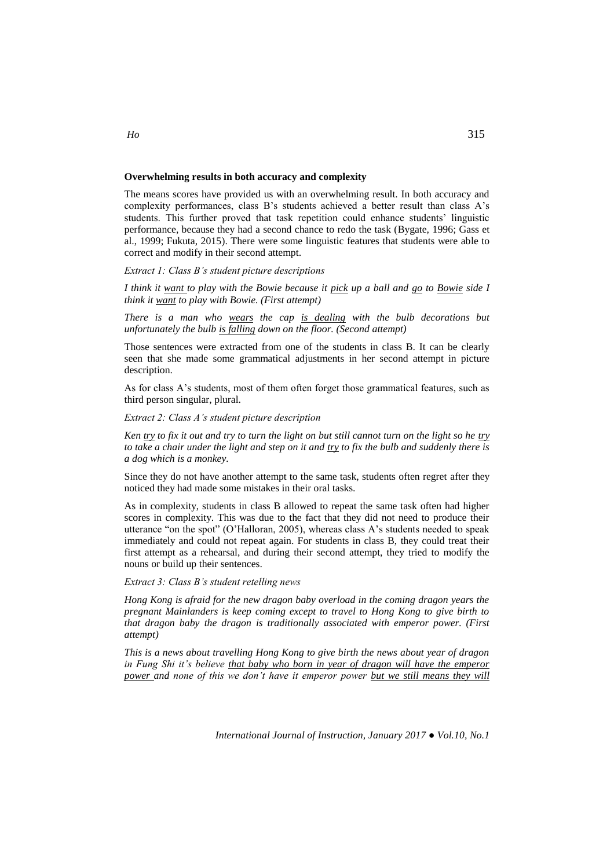### **Overwhelming results in both accuracy and complexity**

The means scores have provided us with an overwhelming result. In both accuracy and complexity performances, class B's students achieved a better result than class A's students. This further proved that task repetition could enhance students' linguistic performance, because they had a second chance to redo the task (Bygate, 1996; Gass et al., 1999; Fukuta, 2015). There were some linguistic features that students were able to correct and modify in their second attempt.

*Extract 1: Class B's student picture descriptions*

*I think it want to play with the Bowie because it pick up a ball and go to Bowie side I think it want to play with Bowie. (First attempt)*

*There is a man who wears the cap is dealing with the bulb decorations but unfortunately the bulb is falling down on the floor. (Second attempt)*

Those sentences were extracted from one of the students in class B. It can be clearly seen that she made some grammatical adjustments in her second attempt in picture description.

As for class A's students, most of them often forget those grammatical features, such as third person singular, plural.

*Extract 2: Class A's student picture description*

*Ken try to fix it out and try to turn the light on but still cannot turn on the light so he try to take a chair under the light and step on it and try to fix the bulb and suddenly there is a dog which is a monkey.*

Since they do not have another attempt to the same task, students often regret after they noticed they had made some mistakes in their oral tasks.

As in complexity, students in class B allowed to repeat the same task often had higher scores in complexity. This was due to the fact that they did not need to produce their utterance "on the spot" (O'Halloran, 2005), whereas class A's students needed to speak immediately and could not repeat again. For students in class B, they could treat their first attempt as a rehearsal, and during their second attempt, they tried to modify the nouns or build up their sentences.

*Extract 3: Class B's student retelling news*

*Hong Kong is afraid for the new dragon baby overload in the coming dragon years the pregnant Mainlanders is keep coming except to travel to Hong Kong to give birth to that dragon baby the dragon is traditionally associated with emperor power. (First attempt)*

*This is a news about travelling Hong Kong to give birth the news about year of dragon in Fung Shi it's believe that baby who born in year of dragon will have the emperor power and none of this we don't have it emperor power but we still means they will*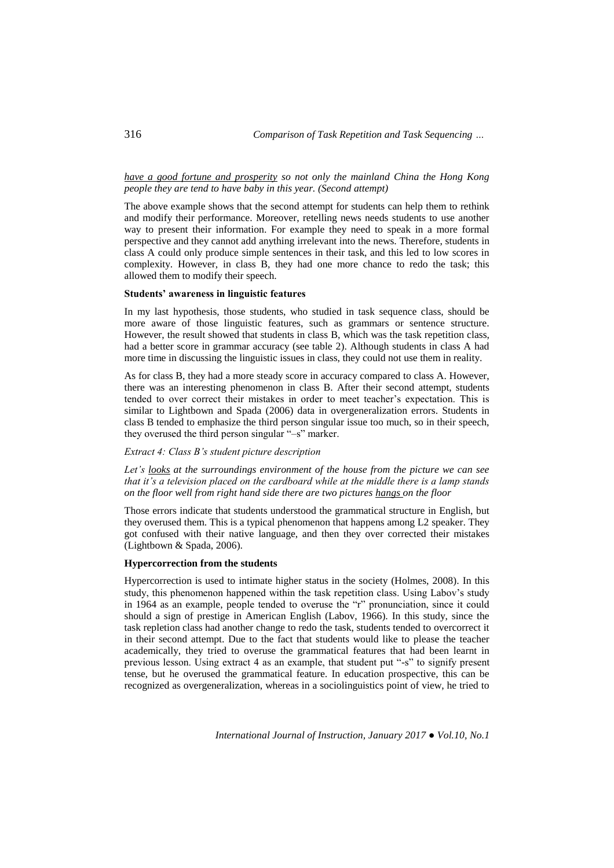# *have a good fortune and prosperity so not only the mainland China the Hong Kong people they are tend to have baby in this year. (Second attempt)*

The above example shows that the second attempt for students can help them to rethink and modify their performance. Moreover, retelling news needs students to use another way to present their information. For example they need to speak in a more formal perspective and they cannot add anything irrelevant into the news. Therefore, students in class A could only produce simple sentences in their task, and this led to low scores in complexity. However, in class B, they had one more chance to redo the task; this allowed them to modify their speech.

### **Students' awareness in linguistic features**

In my last hypothesis, those students, who studied in task sequence class, should be more aware of those linguistic features, such as grammars or sentence structure. However, the result showed that students in class B, which was the task repetition class, had a better score in grammar accuracy (see table 2). Although students in class A had more time in discussing the linguistic issues in class, they could not use them in reality.

As for class B, they had a more steady score in accuracy compared to class A. However, there was an interesting phenomenon in class B. After their second attempt, students tended to over correct their mistakes in order to meet teacher's expectation. This is similar to Lightbown and Spada (2006) data in overgeneralization errors. Students in class B tended to emphasize the third person singular issue too much, so in their speech, they overused the third person singular "–s" marker.

## *Extract 4: Class B's student picture description*

*Let's looks at the surroundings environment of the house from the picture we can see that it's a television placed on the cardboard while at the middle there is a lamp stands on the floor well from right hand side there are two pictures hangs on the floor*

Those errors indicate that students understood the grammatical structure in English, but they overused them. This is a typical phenomenon that happens among L2 speaker. They got confused with their native language, and then they over corrected their mistakes (Lightbown & Spada, 2006).

# **Hypercorrection from the students**

Hypercorrection is used to intimate higher status in the society (Holmes, 2008). In this study, this phenomenon happened within the task repetition class. Using Labov's study in 1964 as an example, people tended to overuse the "r" pronunciation, since it could should a sign of prestige in American English (Labov, 1966). In this study, since the task repletion class had another change to redo the task, students tended to overcorrect it in their second attempt. Due to the fact that students would like to please the teacher academically, they tried to overuse the grammatical features that had been learnt in previous lesson. Using extract 4 as an example, that student put "-s" to signify present tense, but he overused the grammatical feature. In education prospective, this can be recognized as overgeneralization, whereas in a sociolinguistics point of view, he tried to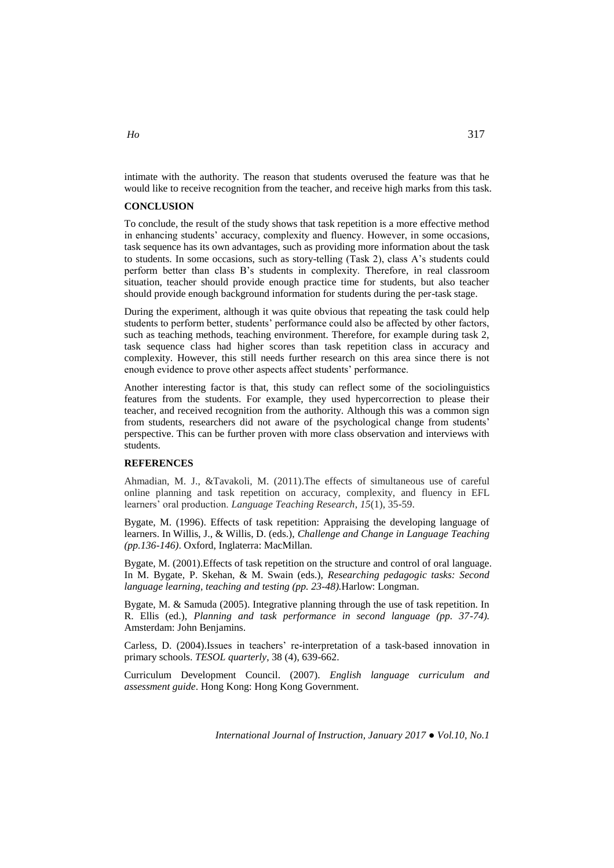intimate with the authority. The reason that students overused the feature was that he would like to receive recognition from the teacher, and receive high marks from this task.

# **CONCLUSION**

To conclude, the result of the study shows that task repetition is a more effective method in enhancing students' accuracy, complexity and fluency. However, in some occasions, task sequence has its own advantages, such as providing more information about the task to students. In some occasions, such as story-telling (Task 2), class A's students could perform better than class B's students in complexity. Therefore, in real classroom situation, teacher should provide enough practice time for students, but also teacher should provide enough background information for students during the per-task stage.

During the experiment, although it was quite obvious that repeating the task could help students to perform better, students' performance could also be affected by other factors, such as teaching methods, teaching environment. Therefore, for example during task 2, task sequence class had higher scores than task repetition class in accuracy and complexity. However, this still needs further research on this area since there is not enough evidence to prove other aspects affect students' performance.

Another interesting factor is that, this study can reflect some of the sociolinguistics features from the students. For example, they used hypercorrection to please their teacher, and received recognition from the authority. Although this was a common sign from students, researchers did not aware of the psychological change from students' perspective. This can be further proven with more class observation and interviews with students.

# **REFERENCES**

Ahmadian, M. J., &Tavakoli, M. (2011).The effects of simultaneous use of careful online planning and task repetition on accuracy, complexity, and fluency in EFL learners' oral production. *Language Teaching Research*, *15*(1), 35-59.

Bygate, M. (1996). Effects of task repetition: Appraising the developing language of learners. In Willis, J., & Willis, D. (eds.), *Challenge and Change in Language Teaching (pp.136-146)*. Oxford, Inglaterra: MacMillan.

Bygate, M. (2001).Effects of task repetition on the structure and control of oral language. In M. Bygate, P. Skehan, & M. Swain (eds.), *Researching pedagogic tasks: Second language learning, teaching and testing (pp. 23-48).*Harlow: Longman.

Bygate, M. & Samuda (2005). Integrative planning through the use of task repetition. In R. Ellis (ed.), *Planning and task performance in second language (pp. 37-74).* Amsterdam: John Benjamins.

Carless, D. (2004).Issues in teachers' re-interpretation of a task-based innovation in primary schools. *TESOL quarterly*, 38 (4), 639-662.

Curriculum Development Council. (2007). *English language curriculum and assessment guide*. Hong Kong: Hong Kong Government.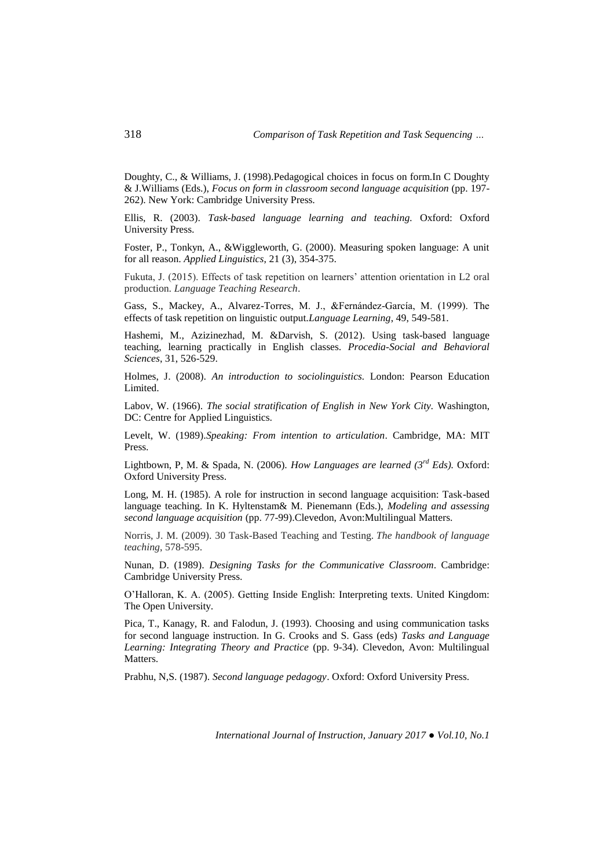Doughty, C., & Williams, J. (1998).Pedagogical choices in focus on form.In C Doughty & J.Williams (Eds.), *Focus on form in classroom second language acquisition* (pp. 197- 262). New York: Cambridge University Press.

Ellis, R. (2003). *Task-based language learning and teaching.* Oxford: Oxford University Press.

Foster, P., Tonkyn, A., &Wiggleworth, G. (2000). Measuring spoken language: A unit for all reason. *Applied Linguistics*, 21 (3), 354-375.

Fukuta, J. (2015). Effects of task repetition on learners' attention orientation in L2 oral production. *Language Teaching Research*.

Gass, S., Mackey, A., Alvarez-Torres, M. J., &Fernández-García, M. (1999). The effects of task repetition on linguistic output.*Language Learning*, 49, 549-581.

Hashemi, M., Azizinezhad, M. &Darvish, S. (2012). Using task-based language teaching, learning practically in English classes. *Procedia-Social and Behavioral Sciences*, 31, 526-529.

Holmes, J. (2008). *An introduction to sociolinguistics.* London: Pearson Education Limited.

Labov, W. (1966). *The social stratification of English in New York City*. Washington, DC: Centre for Applied Linguistics.

Levelt, W. (1989).*Speaking: From intention to articulation*. Cambridge, MA: MIT Press.

Lightbown, P, M. & Spada, N. (2006). *How Languages are learned (3rd Eds).* Oxford: Oxford University Press.

Long, M. H. (1985). A role for instruction in second language acquisition: Task-based language teaching. In K. Hyltenstam& M. Pienemann (Eds.), *Modeling and assessing second language acquisition* (pp. 77-99).Clevedon, Avon:Multilingual Matters.

Norris, J. M. (2009). 30 Task-Based Teaching and Testing. *The handbook of language teaching*, 578-595.

Nunan, D. (1989). *Designing Tasks for the Communicative Classroom*. Cambridge: Cambridge University Press.

O'Halloran, K. A. (2005). Getting Inside English: Interpreting texts. United Kingdom: The Open University.

Pica, T., Kanagy, R. and Falodun, J. (1993). Choosing and using communication tasks for second language instruction. In G. Crooks and S. Gass (eds) *Tasks and Language Learning: Integrating Theory and Practice* (pp. 9-34). Clevedon, Avon: Multilingual Matters.

Prabhu, N,S. (1987). *Second language pedagogy*. Oxford: Oxford University Press.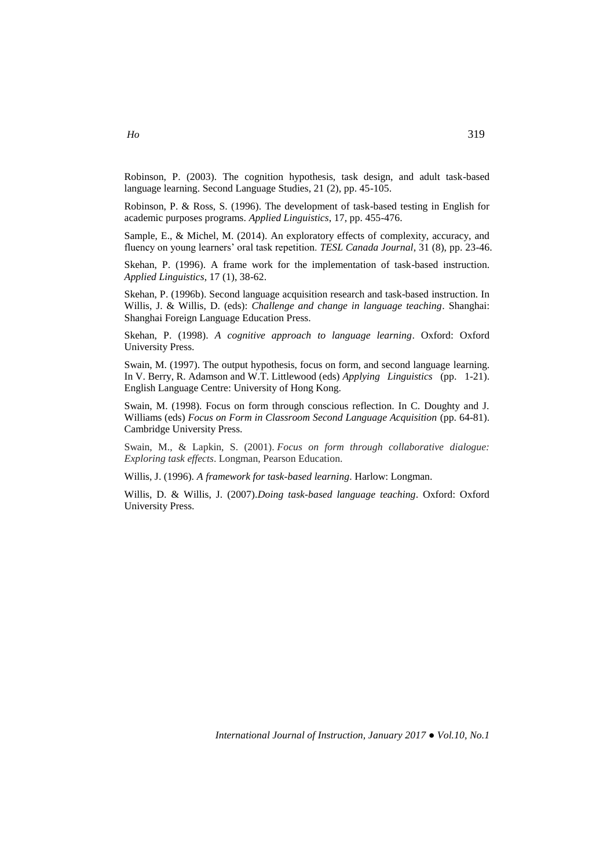Robinson, P. (2003). The cognition hypothesis, task design, and adult task-based language learning. Second Language Studies, 21 (2), pp. 45-105.

Robinson, P. & Ross, S. (1996). The development of task-based testing in English for academic purposes programs. *Applied Linguistics*, 17, pp. 455-476.

Sample, E., & Michel, M. (2014). An exploratory effects of complexity, accuracy, and fluency on young learners' oral task repetition. *TESL Canada Journal*, 31 (8), pp. 23-46.

Skehan, P. (1996). A frame work for the implementation of task-based instruction. *Applied Linguistics*, 17 (1), 38-62.

Skehan, P. (1996b). Second language acquisition research and task-based instruction. In Willis, J. & Willis, D. (eds): *Challenge and change in language teaching*. Shanghai: Shanghai Foreign Language Education Press.

Skehan, P. (1998). *A cognitive approach to language learning*. Oxford: Oxford University Press.

Swain, M. (1997). The output hypothesis, focus on form, and second language learning. In V. Berry, R. Adamson and W.T. Littlewood (eds) *Applying Linguistics* (pp. 1-21). English Language Centre: University of Hong Kong.

Swain, M. (1998). Focus on form through conscious reflection. In C. Doughty and J. Williams (eds) *Focus on Form in Classroom Second Language Acquisition* (pp. 64-81). Cambridge University Press.

Swain, M., & Lapkin, S. (2001). *Focus on form through collaborative dialogue: Exploring task effects*. Longman, Pearson Education.

Willis, J. (1996). *A framework for task-based learning*. Harlow: Longman.

Willis, D. & Willis, J. (2007).*Doing task-based language teaching*. Oxford: Oxford University Press.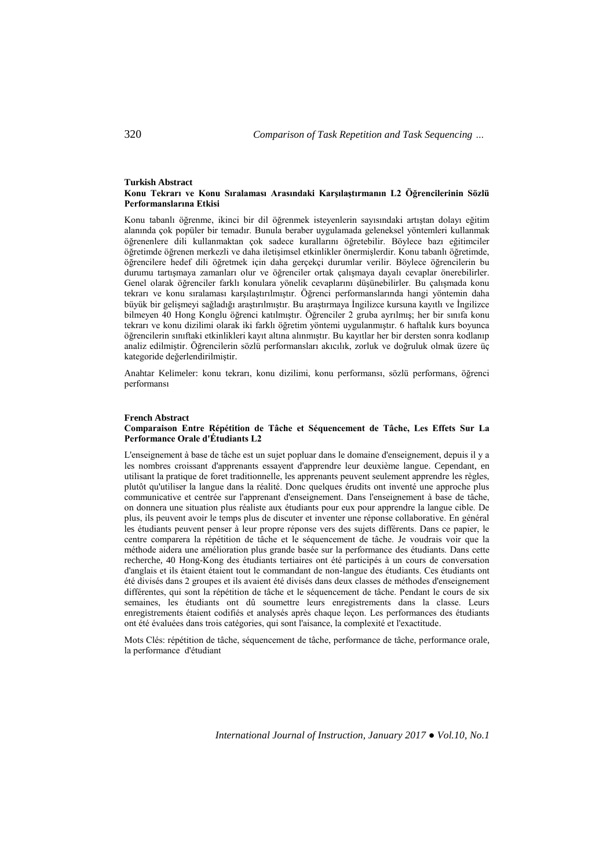#### **Turkish Abstract Konu Tekrarı ve Konu Sıralaması Arasındaki Karşılaştırmanın L2 Öğrencilerinin Sözlü Performanslarına Etkisi**

Konu tabanlı öğrenme, ikinci bir dil öğrenmek isteyenlerin sayısındaki artıştan dolayı eğitim alanında çok popüler bir temadır. Bunula beraber uygulamada geleneksel yöntemleri kullanmak öğrenenlere dili kullanmaktan çok sadece kurallarını öğretebilir. Böylece bazı eğitimciler öğretimde öğrenen merkezli ve daha iletişimsel etkinlikler önermişlerdir. Konu tabanlı öğretimde, öğrencilere hedef dili öğretmek için daha gerçekçi durumlar verilir. Böylece öğrencilerin bu durumu tartışmaya zamanları olur ve öğrenciler ortak çalışmaya dayalı cevaplar önerebilirler. Genel olarak öğrenciler farklı konulara yönelik cevaplarını düşünebilirler. Bu çalışmada konu tekrarı ve konu sıralaması karşılaştırılmıştır. Öğrenci performanslarında hangi yöntemin daha büyük bir gelişmeyi sağladığı araştırılmıştır. Bu araştırmaya İngilizce kursuna kayıtlı ve İngilizce bilmeyen 40 Hong Konglu öğrenci katılmıştır. Öğrenciler 2 gruba ayrılmış; her bir sınıfa konu tekrarı ve konu dizilimi olarak iki farklı öğretim yöntemi uygulanmıştır. 6 haftalık kurs boyunca öğrencilerin sınıftaki etkinlikleri kayıt altına alınmıştır. Bu kayıtlar her bir dersten sonra kodlanıp analiz edilmiştir. Öğrencilerin sözlü performansları akıcılık, zorluk ve doğruluk olmak üzere üç kategoride değerlendirilmiştir.

Anahtar Kelimeler: konu tekrarı, konu dizilimi, konu performansı, sözlü performans, öğrenci performansı

#### **French Abstract**

### **Comparaison Entre Répétition de Tâche et Séquencement de Tâche, Les Effets Sur La Performance Orale d'Étudiants L2**

L'enseignement à base de tâche est un sujet popluar dans le domaine d'enseignement, depuis il y a les nombres croissant d'apprenants essayent d'apprendre leur deuxième langue. Cependant, en utilisant la pratique de foret traditionnelle, les apprenants peuvent seulement apprendre les règles, plutôt qu'utiliser la langue dans la réalité. Donc quelques érudits ont inventé une approche plus communicative et centrée sur l'apprenant d'enseignement. Dans l'enseignement à base de tâche, on donnera une situation plus réaliste aux étudiants pour eux pour apprendre la langue cible. De plus, ils peuvent avoir le temps plus de discuter et inventer une réponse collaborative. En général les étudiants peuvent penser à leur propre réponse vers des sujets différents. Dans ce papier, le centre comparera la répétition de tâche et le séquencement de tâche. Je voudrais voir que la méthode aidera une amélioration plus grande basée sur la performance des étudiants. Dans cette recherche, 40 Hong-Kong des étudiants tertiaires ont été participés à un cours de conversation d'anglais et ils étaient étaient tout le commandant de non-langue des étudiants. Ces étudiants ont été divisés dans 2 groupes et ils avaient été divisés dans deux classes de méthodes d'enseignement différentes, qui sont la répétition de tâche et le séquencement de tâche. Pendant le cours de six semaines, les étudiants ont dû soumettre leurs enregistrements dans la classe. Leurs enregistrements étaient codifiés et analysés après chaque leçon. Les performances des étudiants ont été évaluées dans trois catégories, qui sont l'aisance, la complexité et l'exactitude.

Mots Clés: répétition de tâche, séquencement de tâche, performance de tâche, performance orale, la performance d'étudiant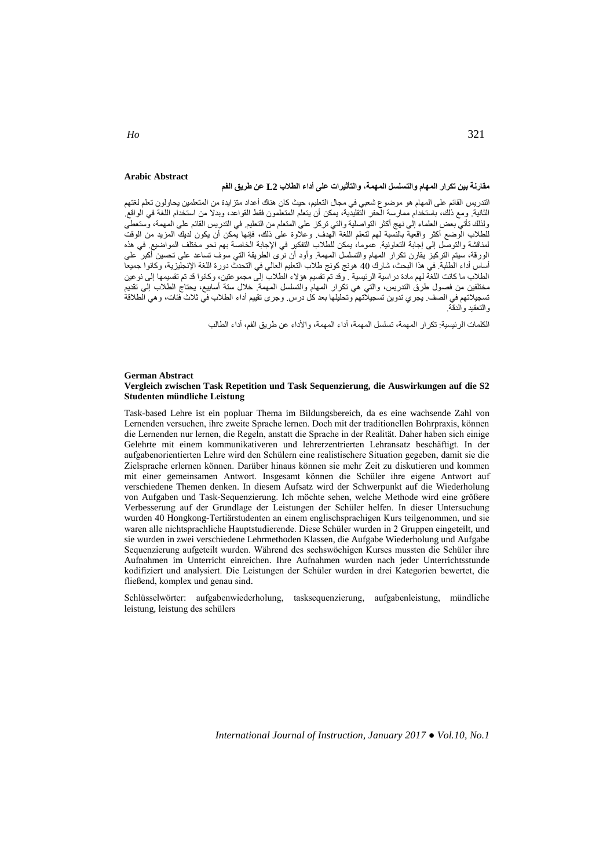## **Arabic Abstract**

# **مقارنة بين تكرار المهام والتسلسل المهمة، والتأثيرات على أداء الطالب 2L عن طريق الفم**

التدريس القائم على المهام هو موضوع شعبي في مجال التعليم، حيث كان هناك أعداد متزايدة من المتعلمين يحاولون تعلم لغتهم الثانية. ومع ذلك، باستخدام ممارسة الحفر التقليدية، يمكن أن يتعلم المتعلمون فقط القواعد، وبدال من استخدام اللغة في الواقع. ولذلك تأتي بعض العلماء إلى نهج أكثر التواصلية والتي تركز على المتعلم من التعليم. في التدريس القائم على المهمة، وستعطى للطالب الوضع أكثر واقعية بالنسبة لهم لتعلم اللغة الهدف. وعالوة على ذلك، فإنها يمكن أن يكون لديك المزيد من الوقت لمناقشة والتوصل إلى إجابة التعاونية. عموما، يمكن للطالب التفكير في اإلجابة الخاصة بهم نحو مختلف المواضيع. في هذه الورقة، سيتم التركيز يقارن تكرار المهام والتسلسل المهمة. وأود أن نرى الطريقة التي سوف تساعد على تحسين أكبر على أساس أداء الطلبة. في هذا البحث، شارك 04 هونج كونج طالب التعليم العالي في التحدث دورة اللغة اإلنجليزية، وكانوا جميعا الطالب ما كانت اللغة لهم مادة دراسية الرئيسية . وقد تم تقسيم هؤالء الطالب إلى مجموعتين، وكانوا قد تم تقسيمها إلى نوعين مختلفين من فصول طرق التدريس، والتي هي تكرار المهام والتسلسل المهمة. خالل ستة أسابيع، يحتاج الطالب إلى تقديم تسجيالتهم في الصف. يجري تدوين تسجيالتهم وتحليلها بعد كل درس. وجرى تقييم أداء الطالب في ثالث فئات، وهي الطالقة والتعقيد والدقة.

الكلمات الرئيسية: تكرار المهمة، تسلسل المهمة، أداء المهمة، واألداء عن طريق الفم، أداء الطالب

### **German Abstract Vergleich zwischen Task Repetition und Task Sequenzierung, die Auswirkungen auf die S2 Studenten mündliche Leistung**

Task-based Lehre ist ein popluar Thema im Bildungsbereich, da es eine wachsende Zahl von Lernenden versuchen, ihre zweite Sprache lernen. Doch mit der traditionellen Bohrpraxis, können die Lernenden nur lernen, die Regeln, anstatt die Sprache in der Realität. Daher haben sich einige Gelehrte mit einem kommunikativeren und lehrerzentrierten Lehransatz beschäftigt. In der aufgabenorientierten Lehre wird den Schülern eine realistischere Situation gegeben, damit sie die Zielsprache erlernen können. Darüber hinaus können sie mehr Zeit zu diskutieren und kommen mit einer gemeinsamen Antwort. Insgesamt können die Schüler ihre eigene Antwort auf verschiedene Themen denken. In diesem Aufsatz wird der Schwerpunkt auf die Wiederholung von Aufgaben und Task-Sequenzierung. Ich möchte sehen, welche Methode wird eine größere Verbesserung auf der Grundlage der Leistungen der Schüler helfen. In dieser Untersuchung wurden 40 Hongkong-Tertiärstudenten an einem englischsprachigen Kurs teilgenommen, und sie waren alle nichtsprachliche Hauptstudierende. Diese Schüler wurden in 2 Gruppen eingeteilt, und sie wurden in zwei verschiedene Lehrmethoden Klassen, die Aufgabe Wiederholung und Aufgabe Sequenzierung aufgeteilt wurden. Während des sechswöchigen Kurses mussten die Schüler ihre Aufnahmen im Unterricht einreichen. Ihre Aufnahmen wurden nach jeder Unterrichtsstunde kodifiziert und analysiert. Die Leistungen der Schüler wurden in drei Kategorien bewertet, die fließend, komplex und genau sind.

Schlüsselwörter: aufgabenwiederholung, tasksequenzierung, aufgabenleistung, mündliche leistung, leistung des schülers